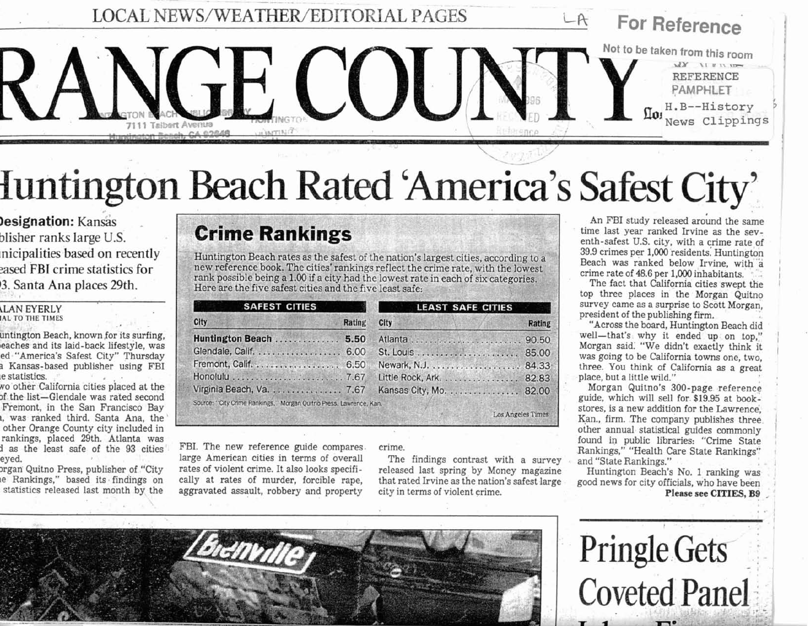**LOCAL NEWS/WEATHER/EDITORIAL PAGES** 

**Iuntington Beach Rated 'America's Safest City'** 

 $\sqrt{1}$ 

**Jesignation: Kansas** blisher ranks large U.S. nicipalities based on recently eased FBI crime statistics for 3. Santa Ana places 29th.

#### LAN EYERLY **IAL TO THE TIMES**

untington Beach, known for its surfing, eaches and its laid-back lifestyle, was ed "America's Safest City" Thursday a Kansas-based publisher using FBI e statistics.

wo other California cities placed at the of the list-Glendale was rated second Fremont, in the San Francisco Bay a, was ranked third. Santa Ana, the other Orange County city included in rankings, placed 29th. Atlanta was d as the least safe of the 93 cities eyed.

organ Quitno Press, publisher of "City e Rankings," based its findings on statistics released last month by the

## **Crime Rankings**

 $\mathbf{c}$ 

ĥ

GI

Er

 $H<sub>0</sub>$ 

Huntington Beach rates as the safest of the nation's largest cities, according to a new reference book. The cities' rankings reflect the crime rate, with the lowest rank possible being a 1.00 if a city had the lowest rate in each of six categories. Here are the five safest cities and the five least safe:

| <b>SAFEST CITIES</b>                                             | <b>LEAST SAFE CITIES</b>     |
|------------------------------------------------------------------|------------------------------|
| Rating                                                           | <b>City</b><br><b>Rating</b> |
| intington Beach  5.50                                            |                              |
| endale, Calif. 6.00                                              | 85.00                        |
| emont, Calif. 6.50                                               |                              |
|                                                                  | Little Rock, Ark. 82.83      |
| rginia Beach, Va. 7.67                                           | Kansas City, Mo. 82.00       |
| urce: "City Crime Rankings," Morgan Quitno Press, Lawrence, Kan. |                              |
|                                                                  | Los Angeles Times            |

FBI. The new reference guide compares. large American cities in terms of overall rates of violent crime. It also looks specifically at rates of murder, forcible rape. aggravated assault, robbery and property

#### crime.

The findings contrast with a survey released last spring by Money magazine that rated Irvine as the nation's safest large city in terms of violent crime.

An FBI study released around the same time last year ranked Irvine as the seventh-safest U.S. city, with a crime rate of 39.9 crimes per 1,000 residents. Huntington Beach was ranked below Irvine, with a crime rate of 48.6 per 1,000 inhabitants.

For Reference

Not to be taken from this room

 $\Omega$ 01

 $XY = U V U$ 

**REFERENCE** PAMPHLET H.B--History

News Clippings

The fact that California cities swept the top three places in the Morgan Quitno survey came as a surprise to Scott Morgan. president of the publishing firm.

"Across the board, Huntington Beach did well-that's why it ended up on top." Morgan said. "We didn't exactly think it was going to be California towns one, two, three. You think of California as a great place, but a little wild."

Morgan Quitno's 300-page reference guide, which will sell for \$19.95 at bookstores, is a new addition for the Lawrence, Kan., firm. The company publishes three other annual statistical guides commonly found in public libraries: "Crime State Rankings," "Health Care State Rankings" and "State Rankings."

Huntington Beach's No. 1 ranking was good news for city officials, who have been Please see CITIES, B9



**Pringle Gets Coveted Panel**